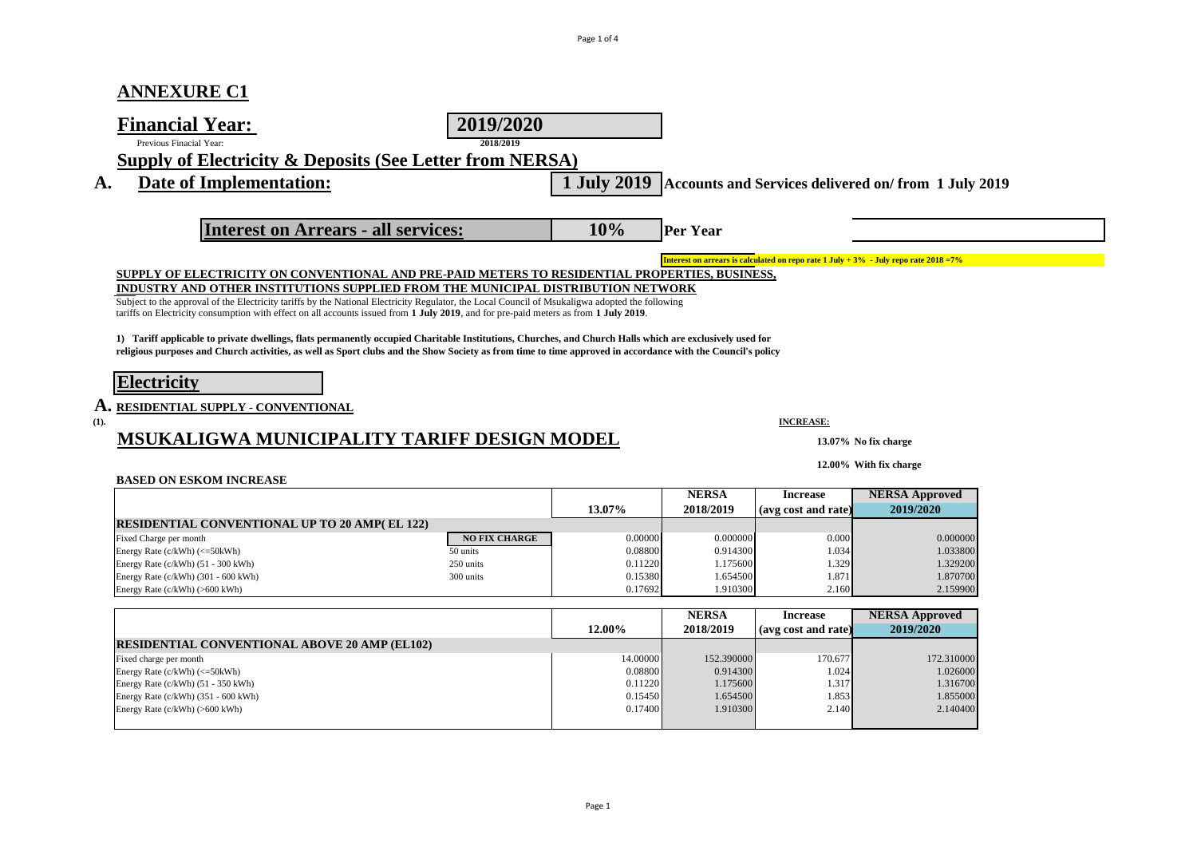## **ANNEXURE C1**

|      | <b>Financial Year:</b><br>Previous Finacial Year:                                                                                                                                                                                                                                       | 2019/2020<br>2018/2019 |                    |                      |                     |                                                                                       |  |
|------|-----------------------------------------------------------------------------------------------------------------------------------------------------------------------------------------------------------------------------------------------------------------------------------------|------------------------|--------------------|----------------------|---------------------|---------------------------------------------------------------------------------------|--|
|      | <b>Supply of Electricity &amp; Deposits (See Letter from NERSA)</b>                                                                                                                                                                                                                     |                        |                    |                      |                     |                                                                                       |  |
| A.   | Date of Implementation:                                                                                                                                                                                                                                                                 |                        | 1 July 2019        |                      |                     |                                                                                       |  |
|      |                                                                                                                                                                                                                                                                                         |                        |                    |                      |                     | Accounts and Services delivered on/from 1 July 2019                                   |  |
|      |                                                                                                                                                                                                                                                                                         |                        |                    |                      |                     |                                                                                       |  |
|      | <b>Interest on Arrears - all services:</b>                                                                                                                                                                                                                                              |                        | 10%                | <b>Per Year</b>      |                     |                                                                                       |  |
|      |                                                                                                                                                                                                                                                                                         |                        |                    |                      |                     |                                                                                       |  |
|      |                                                                                                                                                                                                                                                                                         |                        |                    |                      |                     | Interest on arrears is calculated on repo rate 1 July + 3% - July repo rate 2018 = 7% |  |
|      | SUPPLY OF ELECTRICITY ON CONVENTIONAL AND PRE-PAID METERS TO RESIDENTIAL PROPERTIES, BUSINESS,                                                                                                                                                                                          |                        |                    |                      |                     |                                                                                       |  |
|      | INDUSTRY AND OTHER INSTITUTIONS SUPPLIED FROM THE MUNICIPAL DISTRIBUTION NETWORK                                                                                                                                                                                                        |                        |                    |                      |                     |                                                                                       |  |
|      | Subject to the approval of the Electricity tariffs by the National Electricity Regulator, the Local Council of Msukaligwa adopted the following<br>tariffs on Electricity consumption with effect on all accounts issued from 1 July 2019, and for pre-paid meters as from 1 July 2019. |                        |                    |                      |                     |                                                                                       |  |
|      |                                                                                                                                                                                                                                                                                         |                        |                    |                      |                     |                                                                                       |  |
|      | 1) Tariff applicable to private dwellings, flats permanently occupied Charitable Institutions, Churches, and Church Halls which are exclusively used for                                                                                                                                |                        |                    |                      |                     |                                                                                       |  |
|      | religious purposes and Church activities, as well as Sport clubs and the Show Society as from time to time approved in accordance with the Council's policy                                                                                                                             |                        |                    |                      |                     |                                                                                       |  |
|      |                                                                                                                                                                                                                                                                                         |                        |                    |                      |                     |                                                                                       |  |
|      | <b>Electricity</b>                                                                                                                                                                                                                                                                      |                        |                    |                      |                     |                                                                                       |  |
|      | ${\bf A.}$ residential supply $\cdot$ conventional                                                                                                                                                                                                                                      |                        |                    |                      |                     |                                                                                       |  |
| (1). |                                                                                                                                                                                                                                                                                         |                        |                    |                      | <b>INCREASE:</b>    |                                                                                       |  |
|      | MSUKALIGWA MUNICIPALITY TARIFF DESIGN MODEL                                                                                                                                                                                                                                             |                        |                    |                      |                     |                                                                                       |  |
|      |                                                                                                                                                                                                                                                                                         |                        |                    |                      |                     | 13.07% No fix charge                                                                  |  |
|      |                                                                                                                                                                                                                                                                                         |                        |                    |                      |                     | 12.00% With fix charge                                                                |  |
|      | <b>BASED ON ESKOM INCREASE</b>                                                                                                                                                                                                                                                          |                        |                    |                      |                     |                                                                                       |  |
|      |                                                                                                                                                                                                                                                                                         |                        |                    | <b>NERSA</b>         | <b>Increase</b>     | <b>NERSA Approved</b>                                                                 |  |
|      |                                                                                                                                                                                                                                                                                         |                        | 13.07%             | 2018/2019            | (avg cost and rate) | 2019/2020                                                                             |  |
|      | <b>RESIDENTIAL CONVENTIONAL UP TO 20 AMP(EL 122)</b>                                                                                                                                                                                                                                    |                        |                    |                      |                     |                                                                                       |  |
|      | Fixed Charge per month                                                                                                                                                                                                                                                                  | <b>NO FIX CHARGE</b>   | 0.00000            | 0.000000             | 0.000               | 0.000000                                                                              |  |
|      |                                                                                                                                                                                                                                                                                         |                        |                    | 0.914300             | 1.034               | 1.033800                                                                              |  |
|      | Energy Rate (c/kWh) (<=50kWh)                                                                                                                                                                                                                                                           | 50 units               | 0.08800            |                      |                     |                                                                                       |  |
|      | Energy Rate (c/kWh) (51 - 300 kWh)<br>Energy Rate (c/kWh) (301 - 600 kWh)                                                                                                                                                                                                               | 250 units<br>300 units | 0.11220<br>0.15380 | 1.175600<br>1.654500 | 1.329<br>1.871      | 1.329200<br>1.870700                                                                  |  |
|      |                                                                                                                                                                                                                                                                                         |                        |                    |                      |                     |                                                                                       |  |

|                                                      |          | <b>NERSA</b> | <b>Increase</b>     | <b>NERSA Approved</b> |
|------------------------------------------------------|----------|--------------|---------------------|-----------------------|
|                                                      | 12.00%   | 2018/2019    | (avg cost and rate) | 2019/2020             |
| <b>RESIDENTIAL CONVENTIONAL ABOVE 20 AMP (EL102)</b> |          |              |                     |                       |
| Fixed charge per month                               | 14.00000 | 152.390000   | 170.677             | 172.310000            |
| Energy Rate $(c/kWh)$ $(<=50kWh)$                    | 0.08800  | 0.914300     | 1.024               | 1.026000              |
| Energy Rate (c/kWh) (51 - 350 kWh)                   | 0.11220  | 1.175600     | 1.317               | 1.316700              |
| Energy Rate $(c/kWh)$ (351 - 600 kWh)                | 0.15450  | 1.654500     | 1.853               | 1.855000              |
| Energy Rate $(c/kWh)$ (>600 kWh)                     | 0.17400  | 1.910300     | 2.140               | 2.140400              |
|                                                      |          |              |                     |                       |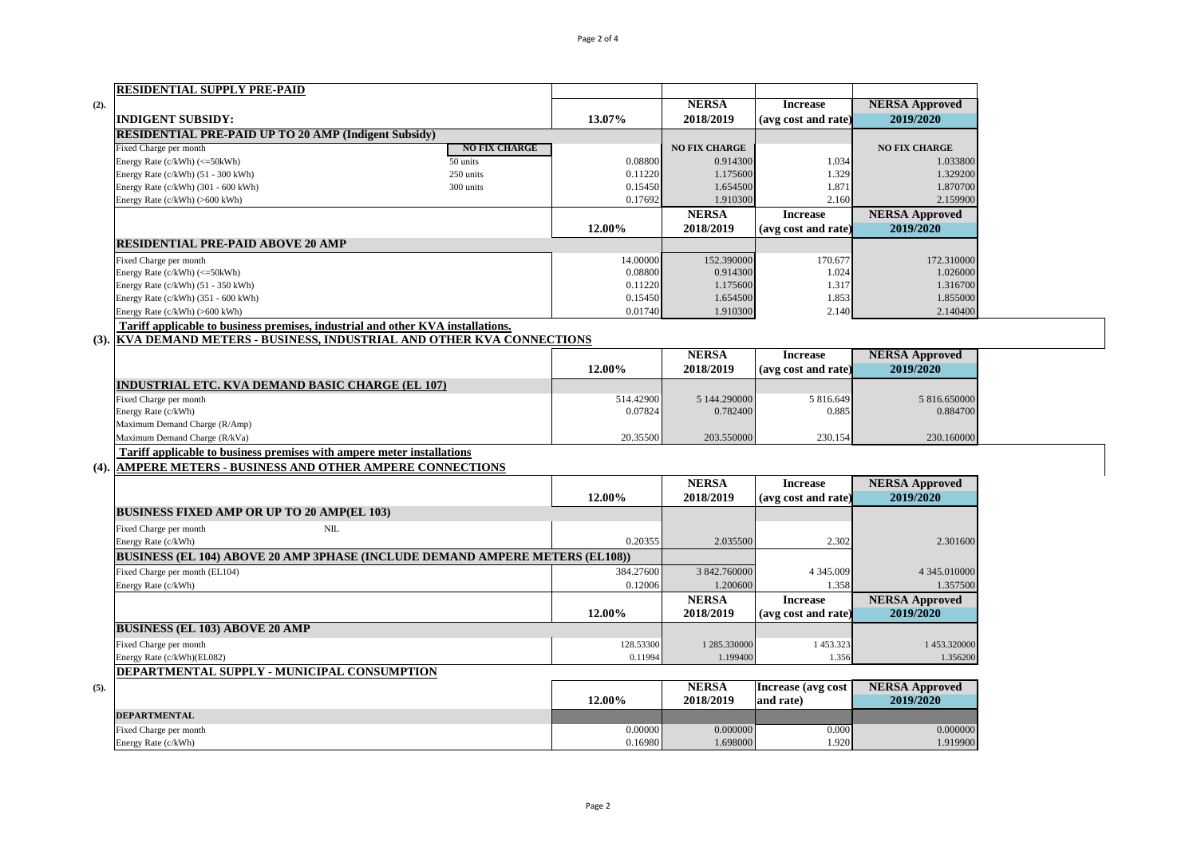|      | <b>RESIDENTIAL SUPPLY PRE-PAID</b>                                                  |                      |           |                      |                     |                       |
|------|-------------------------------------------------------------------------------------|----------------------|-----------|----------------------|---------------------|-----------------------|
| (2). |                                                                                     |                      |           | <b>NERSA</b>         | <b>Increase</b>     | <b>NERSA Approved</b> |
|      | <b>INDIGENT SUBSIDY:</b>                                                            |                      | 13.07%    | 2018/2019            | (avg cost and rate) | 2019/2020             |
|      | <b>RESIDENTIAL PRE-PAID UP TO 20 AMP (Indigent Subsidy)</b>                         |                      |           |                      |                     |                       |
|      | Fixed Charge per month                                                              | <b>NO FIX CHARGE</b> |           | <b>NO FIX CHARGE</b> |                     | <b>NO FIX CHARGE</b>  |
|      | Energy Rate (c/kWh) (<=50kWh)                                                       | 50 units             | 0.08800   | 0.914300             | 1.034               | 1.033800              |
|      | Energy Rate (c/kWh) (51 - 300 kWh)                                                  | 250 units            | 0.11220   | 1.175600             | 1.329               | 1.329200              |
|      | Energy Rate (c/kWh) (301 - 600 kWh)                                                 | 300 units            | 0.15450   | 1.654500             | 1.871               | 1.870700              |
|      | Energy Rate (c/kWh) (>600 kWh)                                                      |                      | 0.17692   | 1.910300             | 2.160               | 2.159900              |
|      |                                                                                     |                      |           | <b>NERSA</b>         | <b>Increase</b>     | <b>NERSA Approved</b> |
|      |                                                                                     |                      | 12.00%    | 2018/2019            | (avg cost and rate) | 2019/2020             |
|      | <b>RESIDENTIAL PRE-PAID ABOVE 20 AMP</b>                                            |                      |           |                      |                     |                       |
|      | Fixed Charge per month                                                              |                      | 14.00000  | 152.390000           | 170.677             | 172.310000            |
|      | Energy Rate (c/kWh) (<=50kWh)                                                       |                      | 0.08800   | 0.914300             | 1.024               | 1.026000              |
|      | Energy Rate (c/kWh) (51 - 350 kWh)                                                  |                      | 0.11220   | 1.175600             | 1.317               | 1.316700              |
|      | Energy Rate (c/kWh) (351 - 600 kWh)                                                 |                      | 0.15450   | 1.654500             | 1.853               | 1.855000              |
|      | Energy Rate (c/kWh) (>600 kWh)                                                      |                      | 0.01740   | 1.910300             | 2.140               | 2.140400              |
|      | Tariff applicable to business premises, industrial and other KVA installations.     |                      |           |                      |                     |                       |
| (3). | KVA DEMAND METERS - BUSINESS, INDUSTRIAL AND OTHER KVA CONNECTIONS                  |                      |           |                      |                     |                       |
|      |                                                                                     |                      |           | <b>NERSA</b>         | <b>Increase</b>     | <b>NERSA Approved</b> |
|      |                                                                                     |                      | 12.00%    | 2018/2019            | (avg cost and rate) | 2019/2020             |
|      | <b>INDUSTRIAL ETC. KVA DEMAND BASIC CHARGE (EL 107)</b>                             |                      |           |                      |                     |                       |
|      | Fixed Charge per month                                                              |                      | 514.42900 | 5 144.290000         | 5 816.649           | 5 816.650000          |
|      | Energy Rate (c/kWh)                                                                 |                      | 0.07824   | 0.782400             | 0.885               | 0.884700              |
|      | Maximum Demand Charge (R/Amp)                                                       |                      |           |                      |                     |                       |
|      | Maximum Demand Charge (R/kVa)                                                       |                      | 20.35500  | 203.550000           | 230.154             | 230.160000            |
|      | Tariff applicable to business premises with ampere meter installations              |                      |           |                      |                     |                       |
| (4). | <b>AMPERE METERS - BUSINESS AND OTHER AMPERE CONNECTIONS</b>                        |                      |           |                      |                     |                       |
|      |                                                                                     |                      |           | <b>NERSA</b>         | <b>Increase</b>     | <b>NERSA Approved</b> |
|      |                                                                                     |                      | 12.00%    | 2018/2019            | (avg cost and rate) | 2019/2020             |
|      | <b>BUSINESS FIXED AMP OR UP TO 20 AMP(EL 103)</b>                                   |                      |           |                      |                     |                       |
|      | Fixed Charge per month<br>NIL                                                       |                      |           |                      |                     |                       |
|      | Energy Rate (c/kWh)                                                                 |                      | 0.20355   | 2.035500             | 2.302               | 2.301600              |
|      | <b>BUSINESS (EL 104) ABOVE 20 AMP 3PHASE (INCLUDE DEMAND AMPERE METERS (EL108))</b> |                      |           |                      |                     |                       |
|      | Fixed Charge per month (EL104)                                                      |                      | 384.27600 | 3 842.760000         | 4 3 4 5 .009        | 4 345.010000          |
|      | Energy Rate (c/kWh)                                                                 |                      | 0.12006   | 1.200600             | 1.358               | 1.357500              |
|      |                                                                                     |                      |           | <b>NERSA</b>         | <b>Increase</b>     | <b>NERSA Approved</b> |
|      |                                                                                     |                      | 12.00%    | 2018/2019            | (avg cost and rate) | 2019/2020             |
|      | <b>BUSINESS (EL 103) ABOVE 20 AMP</b>                                               |                      |           |                      |                     |                       |
|      | Fixed Charge per month                                                              |                      | 128.53300 | 1 285.330000         | 1453.323            | 1453.320000           |
|      | Energy Rate (c/kWh)(EL082)                                                          |                      | 0.11994   | 1.199400             | 1.356               | 1.356200              |
|      | DEPARTMENTAL SUPPLY - MUNICIPAL CONSUMPTION                                         |                      |           |                      |                     |                       |
| (5). |                                                                                     |                      |           | <b>NERSA</b>         | Increase (avg cost  | <b>NERSA Approved</b> |
|      |                                                                                     |                      | 12.00%    | 2018/2019            | and rate)           | 2019/2020             |
|      | <b>DEPARTMENTAL</b>                                                                 |                      |           |                      |                     |                       |

Fixed Charge per month and the control of the control of the control of the control of the control of the control of the control of the control of the control of the control of the control of the control of the control of Energy Rate (c/kWh) 2.919900 1.919900 1.69800 1.69800 1.69800 1.69800 1.69800 1.920 1.919900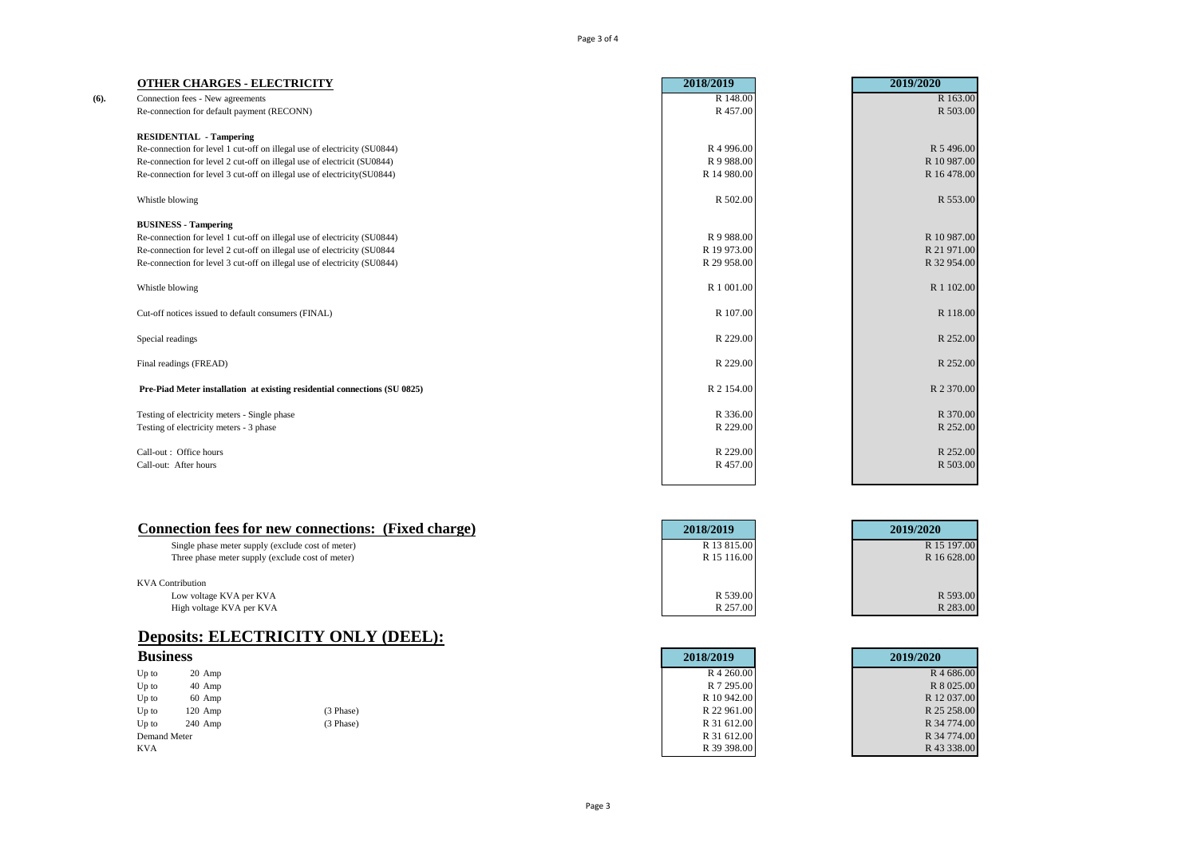Page 3 of 4

|      | <b>OTHER CHARGES - ELECTRICITY</b>                                        | 2018/2019             | 2019/2020   |
|------|---------------------------------------------------------------------------|-----------------------|-------------|
| (6). | Connection fees - New agreements                                          | R 148.00              | R 163.00    |
|      | Re-connection for default payment (RECONN)                                | R 457.00              | R 503.00    |
|      | <b>RESIDENTIAL - Tampering</b>                                            |                       |             |
|      | Re-connection for level 1 cut-off on illegal use of electricity (SU0844)  | R <sub>4</sub> 996.00 | R 5 496.00  |
|      | Re-connection for level 2 cut-off on illegal use of electricit (SU0844)   | R 9 988.00            | R 10 987.00 |
|      | Re-connection for level 3 cut-off on illegal use of electricity(SU0844)   | R 14 980.00           | R 16 478.00 |
|      | Whistle blowing                                                           | R 502.00              | R 553.00    |
|      | <b>BUSINESS - Tampering</b>                                               |                       |             |
|      | Re-connection for level 1 cut-off on illegal use of electricity (SU0844)  | R 9 988.00            | R 10 987.00 |
|      | Re-connection for level 2 cut-off on illegal use of electricity (SU0844   | R 19 973.00           | R 21 971.00 |
|      | Re-connection for level 3 cut-off on illegal use of electricity (SU0844)  | R 29 958.00           | R 32 954.00 |
|      | Whistle blowing                                                           | R 1 001.00            | R 1 102.00  |
|      | Cut-off notices issued to default consumers (FINAL)                       | R 107.00              | R 118.00    |
|      | Special readings                                                          | R 229.00              | R 252.00    |
|      | Final readings (FREAD)                                                    | R 229.00              | R 252.00    |
|      | Pre-Piad Meter installation at existing residential connections (SU 0825) | R 2 154.00            | R 2 370.00  |
|      | Testing of electricity meters - Single phase                              | R 336.00              | R 370.00    |
|      | Testing of electricity meters - 3 phase                                   | R 229.00              | R 252.00    |
|      | Call-out: Office hours                                                    | R 229.00              | R 252.00    |
|      | Call-out: After hours                                                     | R 457.00              | R 503.00    |
|      |                                                                           |                       |             |

| Connection fees for new connections: (Fixed charge) | 2018/2019   | 2019/2020   |
|-----------------------------------------------------|-------------|-------------|
| Single phase meter supply (exclude cost of meter)   | R 13 815.00 | R 15 197.00 |
| Three phase meter supply (exclude cost of meter)    | R 15 116.00 | R 16 628.00 |
|                                                     |             |             |
| <b>KVA</b> Contribution                             |             |             |
| Low voltage KVA per KVA                             | R 539.00    | R 593.00    |
| High voltage KVA per KVA                            | R 257.00    | R 283.00    |

## **Deposits: ELECTRICITY ONLY (DEEL):**

| <b>Business</b> |           |           | 2018/2019   | 2019/2020   |
|-----------------|-----------|-----------|-------------|-------------|
| Up to           | $20$ Amp  |           | R 4 260.00  | R 4 686.00  |
| Up to           | 40 Amp    |           | R 7 295.00  | R 8 025.00  |
| Up to           | 60 Amp    |           | R 10 942.00 | R 12 037.00 |
| Up to           | $120$ Amp | (3 Phase) | R 22 961.00 | R 25 258,00 |
| $Up$ to         | $240$ Amp | (3 Phase) | R 31 612.00 | R 34 774.00 |
| Demand Meter    |           |           | R 31 612.00 | R 34 774.00 |
| <b>KVA</b>      |           |           | R 39 398.00 | R 43 338.00 |